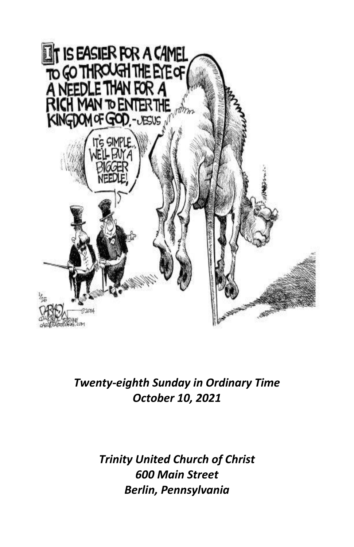

## *Twenty-eighth Sunday in Ordinary Time October 10, 2021*

## *Trinity United Church of Christ 600 Main Street Berlin, Pennsylvania*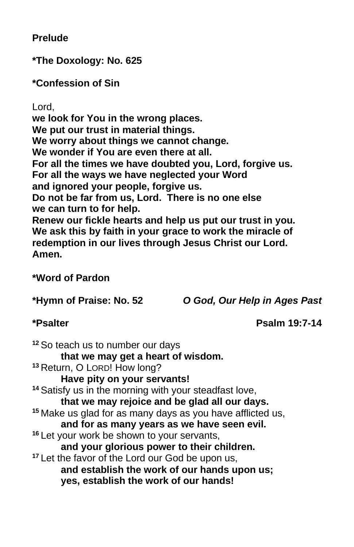**Prelude**

**\*The Doxology: No. 625**

**\*Confession of Sin**

Lord,

**we look for You in the wrong places. We put our trust in material things. We worry about things we cannot change. We wonder if You are even there at all. For all the times we have doubted you, Lord, forgive us. For all the ways we have neglected your Word and ignored your people, forgive us. Do not be far from us, Lord. There is no one else we can turn to for help. Renew our fickle hearts and help us put our trust in you. We ask this by faith in your grace to work the miracle of redemption in our lives through Jesus Christ our Lord. Amen.**

#### **\*Word of Pardon**

**\*Hymn of Praise: No. 52** *O God, Our Help in Ages Past*

**\*Psalter Psalm 19:7-14**

**<sup>12</sup>** So teach us to number our days **that we may get a heart of wisdom. <sup>13</sup>** Return, O LORD! How long? **Have pity on your servants! <sup>14</sup>** Satisfy us in the morning with your steadfast love, **that we may rejoice and be glad all our days. <sup>15</sup>** Make us glad for as many days as you have afflicted us, **and for as many years as we have seen evil. <sup>16</sup>** Let your work be shown to your servants, **and your glorious power to their children. <sup>17</sup>** Let the favor of the Lord our God be upon us, **and establish the work of our hands upon us; yes, establish the work of our hands!**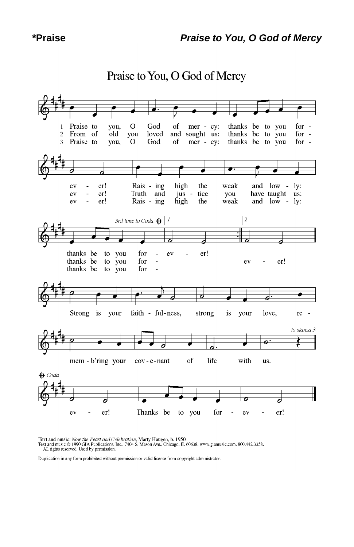#### J  $\Omega$ God  $\mathbf{1}$ Praise to you,  $\sigma$ f mer - cy: thanks be to you for  $\overline{c}$ From of  $old$ you loved and sought us: thanks be to you for  $\sim$ for - $\overline{3}$ Praise to you,  $\mathbf O$ God of mer - cy: thanks be to you Rais - ing high the weak and low - ly: ev  $\overline{a}$ er! ev  $\overline{\phantom{a}}$ er! Truth and jus tice you have taught us: er! ev Rais - ing high the weak and low - ly:  $\overline{a}$  $\sqrt{2}$ 3rd time to Coda  $\bigoplus$   $\boxed{1}$ thanks be to you for  $\overline{a}$ ev er! thanks be to you for er!  $\overline{a}$ ev thanks be to you for L z 7 Strong is faith - ful-ness, your strong is your love, re to stanza 3 o mem - b'ring your cov-e-nant of life with us.  $\bigoplus$  Coda er! Thanks be to you for er! ev ev ÷

Praise to You, O God of Mercy

Text and music: Now the Feast and Celebration, Marty Haugen, b. 1950<br>Text and music © 1990 GIA Publications, Inc., 7404 S. Mason Ave., Chicago, IL 60638. www.giamusic.com. 800.442.3358.<br>All rights reserved. Used by permiss

Duplication in any form prohibited without permission or valid license from copyright administrator.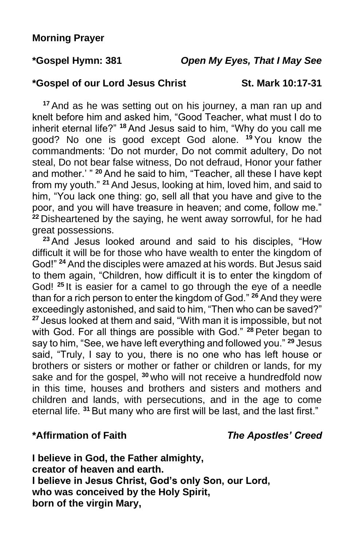#### **\*Gospel of our Lord Jesus Christ St. Mark 10:17-31**

**<sup>17</sup>** And as he was setting out on his journey, a man ran up and knelt before him and asked him, "Good Teacher, what must I do to inherit eternal life?" **<sup>18</sup>** And Jesus said to him, "Why do you call me good? No one is good except God alone. **<sup>19</sup>** You know the commandments: 'Do not murder, Do not commit adultery, Do not steal, Do not bear false witness, Do not defraud, Honor your father and mother.' " **<sup>20</sup>** And he said to him, "Teacher, all these I have kept from my youth." **<sup>21</sup>** And Jesus, looking at him, loved him, and said to him, "You lack one thing: go, sell all that you have and give to the poor, and you will have treasure in heaven; and come, follow me." **<sup>22</sup>** Disheartened by the saying, he went away sorrowful, for he had great possessions.

**<sup>23</sup>** And Jesus looked around and said to his disciples, "How difficult it will be for those who have wealth to enter the kingdom of God!" **<sup>24</sup>** And the disciples were amazed at his words. But Jesus said to them again, "Children, how difficult it is to enter the kingdom of God! **<sup>25</sup>** It is easier for a camel to go through the eye of a needle than for a rich person to enter the kingdom of God." **<sup>26</sup>** And they were exceedingly astonished, and said to him, "Then who can be saved?" **<sup>27</sup>** Jesus looked at them and said, "With man it is impossible, but not with God. For all things are possible with God." **<sup>28</sup>** Peter began to say to him, "See, we have left everything and followed you." **<sup>29</sup>** Jesus said, "Truly, I say to you, there is no one who has left house or brothers or sisters or mother or father or children or lands, for my sake and for the gospel, **<sup>30</sup>** who will not receive a hundredfold now in this time, houses and brothers and sisters and mothers and children and lands, with persecutions, and in the age to come eternal life. **<sup>31</sup>** But many who are first will be last, and the last first."

**\*Affirmation of Faith** *The Apostles' Creed*

**I believe in God, the Father almighty, creator of heaven and earth. I believe in Jesus Christ, God's only Son, our Lord, who was conceived by the Holy Spirit, born of the virgin Mary,**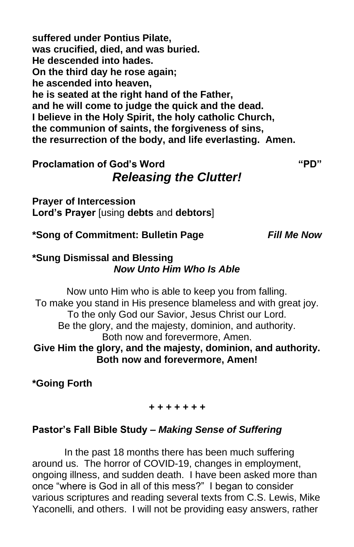**suffered under Pontius Pilate, was crucified, died, and was buried. He descended into hades. On the third day he rose again; he ascended into heaven, he is seated at the right hand of the Father, and he will come to judge the quick and the dead. I believe in the Holy Spirit, the holy catholic Church, the communion of saints, the forgiveness of sins, the resurrection of the body, and life everlasting. Amen.**

## **Proclamation of God's Word "PD"** *Releasing the Clutter!*

**Prayer of Intercession Lord's Prayer** [using **debts** and **debtors**]

**\*Song of Commitment: Bulletin Page** *Fill Me Now*

#### **\*Sung Dismissal and Blessing** *Now Unto Him Who Is Able*

Now unto Him who is able to keep you from falling. To make you stand in His presence blameless and with great joy. To the only God our Savior, Jesus Christ our Lord. Be the glory, and the majesty, dominion, and authority. Both now and forevermore, Amen. **Give Him the glory, and the majesty, dominion, and authority. Both now and forevermore, Amen!**

**\*Going Forth**

#### *+ + + + + + +*

## **Pastor's Fall Bible Study –** *Making Sense of Suffering*

In the past 18 months there has been much suffering around us. The horror of COVID-19, changes in employment, ongoing illness, and sudden death. I have been asked more than once "where is God in all of this mess?" I began to consider various scriptures and reading several texts from C.S. Lewis, Mike Yaconelli, and others. I will not be providing easy answers, rather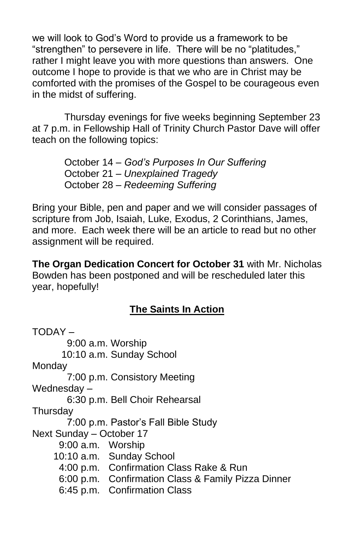we will look to God's Word to provide us a framework to be "strengthen" to persevere in life. There will be no "platitudes," rather I might leave you with more questions than answers. One outcome I hope to provide is that we who are in Christ may be comforted with the promises of the Gospel to be courageous even in the midst of suffering.

Thursday evenings for five weeks beginning September 23 at 7 p.m. in Fellowship Hall of Trinity Church Pastor Dave will offer teach on the following topics:

> October 14 – *God's Purposes In Our Suffering* October 21 – *Unexplained Tragedy* October 28 – *Redeeming Suffering*

Bring your Bible, pen and paper and we will consider passages of scripture from Job, Isaiah, Luke, Exodus, 2 Corinthians, James, and more. Each week there will be an article to read but no other assignment will be required.

**The Organ Dedication Concert for October 31** with Mr. Nicholas Bowden has been postponed and will be rescheduled later this year, hopefully!

## **The Saints In Action**

TODAY – 9:00 a.m. Worship 10:10 a.m. Sunday School Monday 7:00 p.m. Consistory Meeting Wednesday – 6:30 p.m. Bell Choir Rehearsal **Thursdav** 7:00 p.m. Pastor's Fall Bible Study Next Sunday – October 17 9:00 a.m. Worship 10:10 a.m. Sunday School 4:00 p.m. Confirmation Class Rake & Run 6:00 p.m. Confirmation Class & Family Pizza Dinner 6:45 p.m. Confirmation Class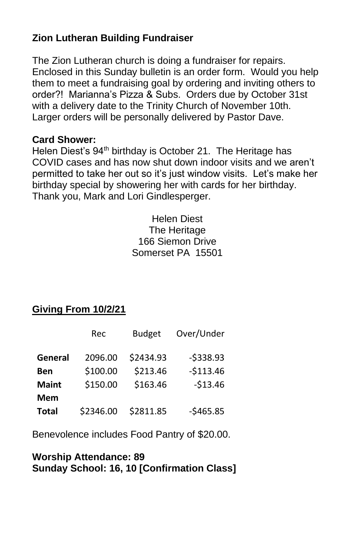#### **Zion Lutheran Building Fundraiser**

The Zion Lutheran church is doing a fundraiser for repairs. Enclosed in this Sunday bulletin is an order form. Would you help them to meet a fundraising goal by ordering and inviting others to order?! Marianna's Pizza & Subs. Orders due by October 31st with a delivery date to the Trinity Church of November 10th. Larger orders will be personally delivered by Pastor Dave.

#### **Card Shower:**

Helen Diest's 94<sup>th</sup> birthday is October 21. The Heritage has COVID cases and has now shut down indoor visits and we aren't permitted to take her out so it's just window visits. Let's make her birthday special by showering her with cards for her birthday. Thank you, Mark and Lori Gindlesperger.

> Helen Diest The Heritage 166 Siemon Drive Somerset PA 15501

## **Giving From 10/2/21**

|              | Rec       | <b>Budget</b> | Over/Under |
|--------------|-----------|---------------|------------|
| General      | 2096.00   | \$2434.93     | $-5338.93$ |
| Ben          | \$100.00  | \$213.46      | $-$113.46$ |
| <b>Maint</b> | \$150.00  | \$163.46      | $-513.46$  |
| <b>Mem</b>   |           |               |            |
| <b>Total</b> | \$2346.00 | \$2811.85     | $-5465.85$ |

Benevolence includes Food Pantry of \$20.00.

#### **Worship Attendance: 89 Sunday School: 16, 10 [Confirmation Class]**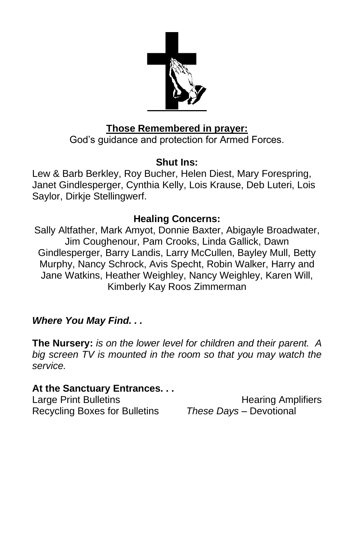

#### **Those Remembered in prayer:**

God's guidance and protection for Armed Forces.

## **Shut Ins:**

Lew & Barb Berkley, Roy Bucher, Helen Diest, Mary Forespring, Janet Gindlesperger, Cynthia Kelly, Lois Krause, Deb Luteri, Lois Saylor, Dirkje Stellingwerf.

## **Healing Concerns:**

Sally Altfather, Mark Amyot, Donnie Baxter, Abigayle Broadwater, Jim Coughenour, Pam Crooks, Linda Gallick, Dawn Gindlesperger, Barry Landis, Larry McCullen, Bayley Mull, Betty Murphy, Nancy Schrock, Avis Specht, Robin Walker, Harry and Jane Watkins, Heather Weighley, Nancy Weighley, Karen Will, Kimberly Kay Roos Zimmerman

## *Where You May Find. . .*

**The Nursery:** *is on the lower level for children and their parent. A big screen TV is mounted in the room so that you may watch the service.*

#### **At the Sanctuary Entrances. . .**

Recycling Boxes for Bulletins *These Days –* Devotional

Large Print Bulletins **Example 20** Hearing Amplifiers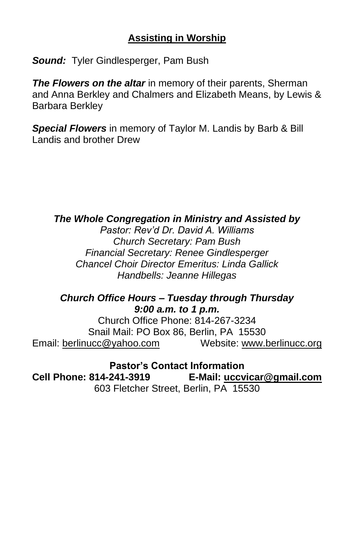#### **Assisting in Worship**

*Sound:* Tyler Gindlesperger, Pam Bush

*The Flowers on the altar* in memory of their parents, Sherman and Anna Berkley and Chalmers and Elizabeth Means, by Lewis & Barbara Berkley

*Special Flowers* in memory of Taylor M. Landis by Barb & Bill Landis and brother Drew

#### *The Whole Congregation in Ministry and Assisted by*

*Pastor: Rev'd Dr. David A. Williams Church Secretary: Pam Bush Financial Secretary: Renee Gindlesperger Chancel Choir Director Emeritus: Linda Gallick Handbells: Jeanne Hillegas*

#### *Church Office Hours – Tuesday through Thursday 9:00 a.m. to 1 p.m.*

Church Office Phone: 814-267-3234 Snail Mail: PO Box 86, Berlin, PA 15530 Email: [berlinucc@yahoo.com](mailto:berlinucc@yahoo.com) Website: [www.berlinucc.org](http://www.berlinucc.org/)

**Pastor's Contact Information**

**Cell Phone: 814-241-3919 E-Mail: [uccvicar@gmail.com](mailto:uccvicar@gmail.com)** 603 Fletcher Street, Berlin, PA 15530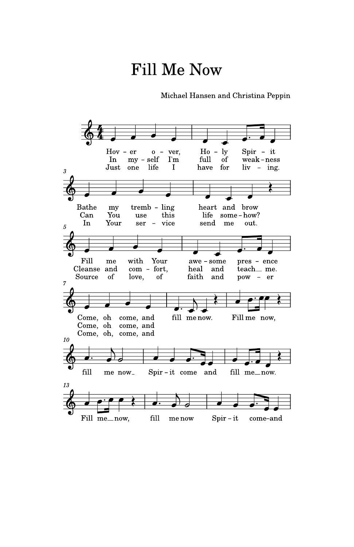# **Fill Me Now**

Michael Hansen and Christina Peppin